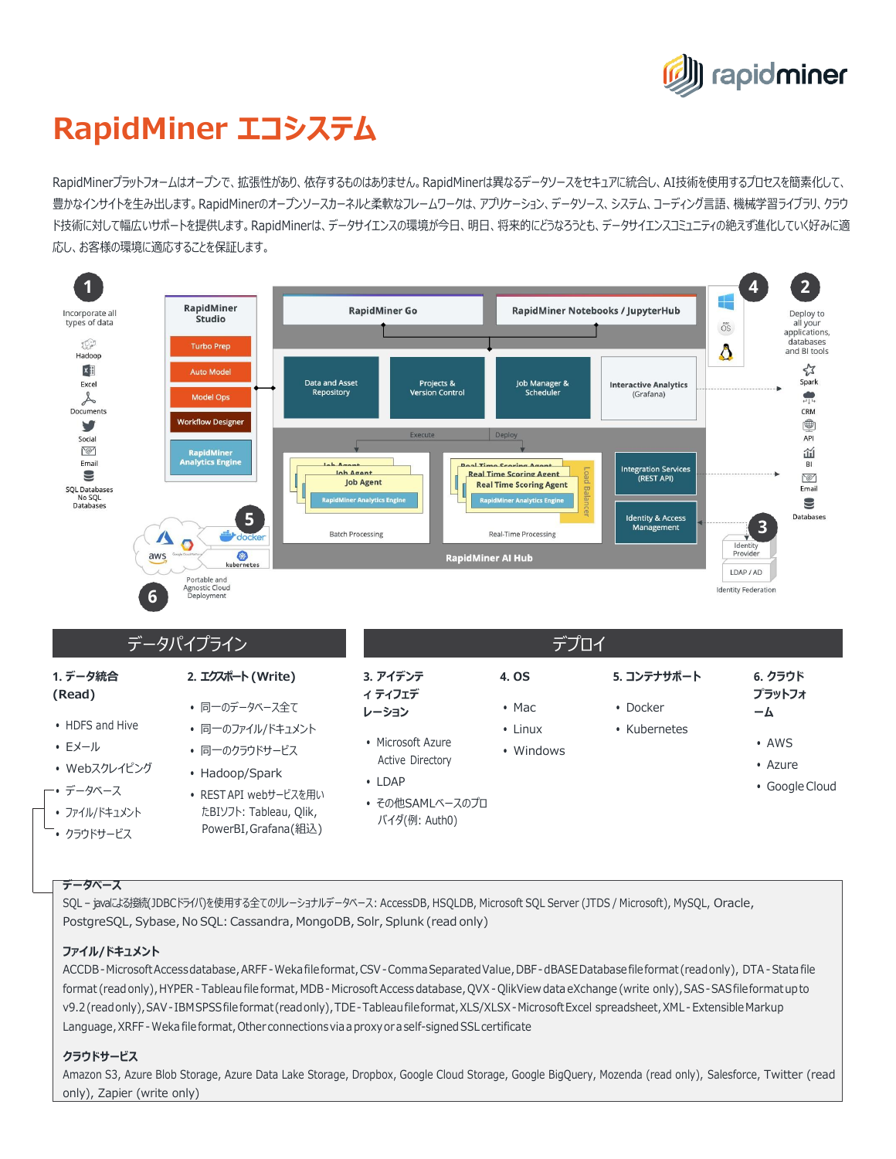

# **RapidMiner エコシステム**

RapidMinerプラットフォームはオープンで、拡張性があり、依存するものはありません。RapidMinerは異なるデータソースをセキュアに統合し、AI技術を使用するプロセスを簡素化して、 豊かなインサイトを生み出します。RapidMinerのオープンソースカーネルと柔軟なフレームワークは、アプリケーション、データソース、システム、コーディング言語、機械学習ライブラリ、クラウ ド技術に対して幅広いサポートを提供します。RapidMinerは、データサイエンスの環境が今日、明日、将来的にどうなろうとも、データサイエンスコミュニティの絶えず進化していく好みに適 応し、お客様の環境に適応することを保証します。



### **データベース**

SQL – javaによる接続(JDBCドライバ)を使用する全てのリレーショナルデータベース: AccessDB, HSQLDB, Microsoft SQL Server (JTDS / Microsoft), MySQL, Oracle, PostgreSQL, Sybase, No SQL: Cassandra, MongoDB, Solr, Splunk (read only)

#### **ファイル/ドキュメント**

ACCDB-MicrosoftAccessdatabase,ARFF-Wekafileformat,CSV-CommaSeparatedValue,DBF-dBASEDatabasefileformat (readonly), DTA-Stata file format (read only), HYPER - Tableau file format, MDB - Microsoft Access database, QVX - QlikView data eXchange (write only), SAS - SAS file format up to v9.2(readonly),SAV- IBMSPSSfile format (readonly),TDE-Tableaufileformat,XLS/XLSX-MicrosoftExcel spreadsheet,XML- Extensible Markup Language, XRFF - Weka file format, Other connections via a proxy or a self-signed SSL certificate

## **クラウドサービス**

Amazon S3, Azure Blob Storage, Azure Data Lake Storage, Dropbox, Google Cloud Storage, Google BigQuery, Mozenda (read only), Salesforce, Twitter (read only), Zapier (write only)